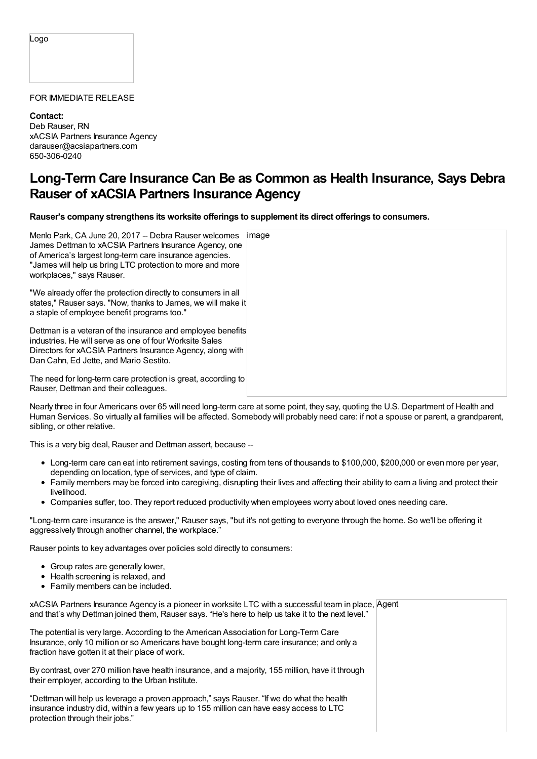## Logo

## FOR IMMEDIATE RELEASE

**Contact:** Deb Rauser, RN xACSIA Partners Insurance Agency darauser@acsiapartners.com 650-306-0240

## **Long-Term Care Insurance Can Be as Common as Health Insurance, Says Debra Rauser of xACSIA Partners Insurance Agency**

**Rauser's company strengthens its worksite offerings to supplement its direct offerings to consumers.**

| Menlo Park, CA June 20, 2017 -- Debra Rauser welcomes<br>James Dettman to xACSIA Partners Insurance Agency, one<br>of America's largest long-term care insurance agencies.<br>"James will help us bring LTC protection to more and more<br>workplaces," says Rauser. | image |
|----------------------------------------------------------------------------------------------------------------------------------------------------------------------------------------------------------------------------------------------------------------------|-------|
| "We already offer the protection directly to consumers in all<br>states," Rauser says. "Now, thanks to James, we will make it<br>a staple of employee benefit programs too."                                                                                         |       |
| Dettman is a veteran of the insurance and employee benefits<br>industries. He will serve as one of four Worksite Sales<br>Directors for xACSIA Partners Insurance Agency, along with<br>Dan Cahn, Ed Jette, and Mario Sestito.                                       |       |
| The need for long-term care protection is great, according to<br>Rauser, Dettman and their colleagues.                                                                                                                                                               |       |

Nearly three in four Americans over 65 will need long-term care at some point, they say, quoting the U.S. Department of Health and Human Services. So virtually all families will be affected. Somebody will probably need care: if not a spouse or parent, a grandparent, sibling, or other relative.

This is a very big deal, Rauser and Dettman assert, because --

- Long-term care can eat into retirement savings, costing from tens of thousands to \$100,000, \$200,000 or even more per year, depending on location, type of services, and type of claim.
- Family members may be forced into caregiving, disrupting their lives and affecting their ability to earn a living and protect their livelihood.
- Companies suffer, too. They report reduced productivity when employees worry about loved ones needing care.

"Long-term care insurance is the answer," Rauser says, "but it's not getting to everyone through the home. So we'll be offering it aggressively through another channel, the workplace."

Rauser points to key advantages over policies sold directly to consumers:

- Group rates are generally lower,
- Health screening is relaxed, and
- Family members can be included.

xACSIA Partners Insurance Agency is a pioneer in worksite LTC with a successful team in place, Agent and that's why Dettman joined them, Rauser says. "He's here to help us take it to the next level."

The potential is very large. According to the American Association for Long-Term Care Insurance, only 10 million or so Americans have bought long-term care insurance; and only a fraction have gotten it at their place of work.

By contrast, over 270 million have health insurance, and a majority, 155 million, have it through their employer, according to the Urban Institute.

"Dettman will help us leverage a proven approach," says Rauser. "If we do what the health insurance industry did, within a few years up to 155 million can have easy access to LTC protection through their jobs."